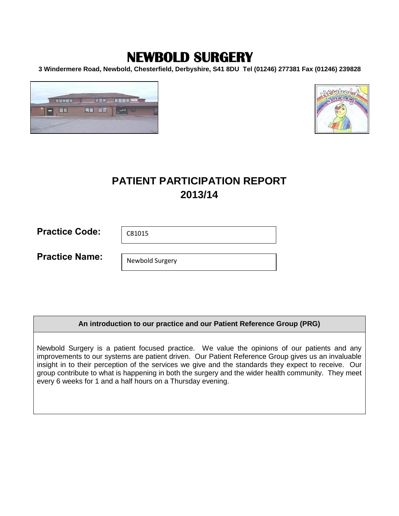# **NEWBOLD SURGERY**

**3 Windermere Road, Newbold, Chesterfield, Derbyshire, S41 8DU Tel (01246) 277381 Fax (01246) 239828**





## **PATIENT PARTICIPATION REPORT 2013/14**

| <b>Practice Code:</b> | C81015 |
|-----------------------|--------|
|-----------------------|--------|

**Practice Name:** 

Newbold Surgery

## **An introduction to our practice and our Patient Reference Group (PRG)**

Newbold Surgery is a patient focused practice. We value the opinions of our patients and any improvements to our systems are patient driven. Our Patient Reference Group gives us an invaluable insight in to their perception of the services we give and the standards they expect to receive. Our group contribute to what is happening in both the surgery and the wider health community. They meet every 6 weeks for 1 and a half hours on a Thursday evening.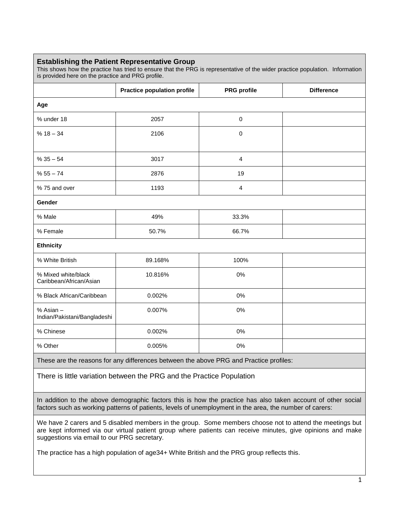## **Establishing the Patient Representative Group**

This shows how the practice has tried to ensure that the PRG is representative of the wider practice population. Information is provided here on the practice and PRG profile.

|                                                | <b>Practice population profile</b> | <b>PRG</b> profile | <b>Difference</b> |  |  |  |  |  |
|------------------------------------------------|------------------------------------|--------------------|-------------------|--|--|--|--|--|
| Age                                            |                                    |                    |                   |  |  |  |  |  |
| % under 18                                     | 2057                               | $\pmb{0}$          |                   |  |  |  |  |  |
| $% 18 - 34$                                    | 2106                               | $\pmb{0}$          |                   |  |  |  |  |  |
|                                                |                                    |                    |                   |  |  |  |  |  |
| $% 35 - 54$                                    | 3017                               | $\overline{4}$     |                   |  |  |  |  |  |
| $% 55 - 74$                                    | 2876                               | 19                 |                   |  |  |  |  |  |
| % 75 and over                                  | 1193                               | $\overline{4}$     |                   |  |  |  |  |  |
| Gender                                         |                                    |                    |                   |  |  |  |  |  |
| % Male                                         | 49%                                | 33.3%              |                   |  |  |  |  |  |
| % Female                                       | 50.7%                              | 66.7%              |                   |  |  |  |  |  |
| <b>Ethnicity</b>                               |                                    |                    |                   |  |  |  |  |  |
| % White British                                | 89.168%                            | 100%               |                   |  |  |  |  |  |
| % Mixed white/black<br>Caribbean/African/Asian | 10.816%                            | 0%                 |                   |  |  |  |  |  |
| % Black African/Caribbean                      | 0.002%                             | 0%                 |                   |  |  |  |  |  |
| % Asian -<br>Indian/Pakistani/Bangladeshi      | 0.007%                             | 0%                 |                   |  |  |  |  |  |
| % Chinese                                      | 0.002%                             | 0%                 |                   |  |  |  |  |  |
| % Other                                        | 0.005%                             | 0%                 |                   |  |  |  |  |  |

These are the reasons for any differences between the above PRG and Practice profiles:

There is little variation between the PRG and the Practice Population

In addition to the above demographic factors this is how the practice has also taken account of other social factors such as working patterns of patients, levels of unemployment in the area, the number of carers:

We have 2 carers and 5 disabled members in the group. Some members choose not to attend the meetings but are kept informed via our virtual patient group where patients can receive minutes, give opinions and make suggestions via email to our PRG secretary.

The practice has a high population of age34+ White British and the PRG group reflects this.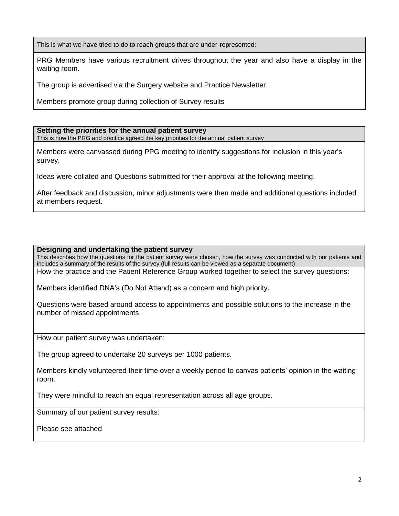This is what we have tried to do to reach groups that are under-represented:

PRG Members have various recruitment drives throughout the year and also have a display in the waiting room.

The group is advertised via the Surgery website and Practice Newsletter.

Members promote group during collection of Survey results

### **Setting the priorities for the annual patient survey**

This is how the PRG and practice agreed the key priorities for the annual patient survey

Members were canvassed during PPG meeting to identify suggestions for inclusion in this year's survey.

Ideas were collated and Questions submitted for their approval at the following meeting.

After feedback and discussion, minor adjustments were then made and additional questions included at members request.

### **Designing and undertaking the patient survey**

This describes how the questions for the patient survey were chosen, how the survey was conducted with our patients and includes a summary of the results of the survey (full results can be viewed as a separate document)

How the practice and the Patient Reference Group worked together to select the survey questions:

Members identified DNA's (Do Not Attend) as a concern and high priority.

Questions were based around access to appointments and possible solutions to the increase in the number of missed appointments

How our patient survey was undertaken:

The group agreed to undertake 20 surveys per 1000 patients.

Members kindly volunteered their time over a weekly period to canvas patients' opinion in the waiting room.

They were mindful to reach an equal representation across all age groups.

Summary of our patient survey results:

Please see attached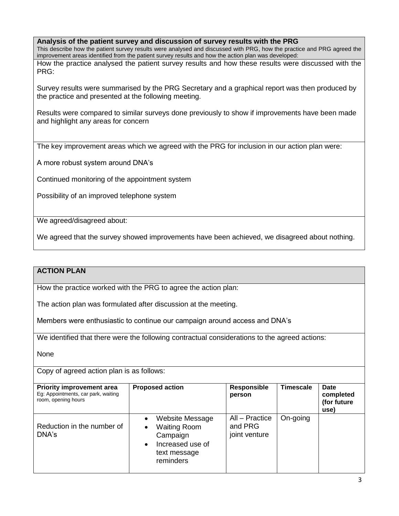**Analysis of the patient survey and discussion of survey results with the PRG**

This describe how the patient survey results were analysed and discussed with PRG, how the practice and PRG agreed the improvement areas identified from the patient survey results and how the action plan was developed:

How the practice analysed the patient survey results and how these results were discussed with the PRG:

Survey results were summarised by the PRG Secretary and a graphical report was then produced by the practice and presented at the following meeting.

Results were compared to similar surveys done previously to show if improvements have been made and highlight any areas for concern

The key improvement areas which we agreed with the PRG for inclusion in our action plan were:

A more robust system around DNA's

Continued monitoring of the appointment system

Possibility of an improved telephone system

We agreed/disagreed about:

We agreed that the survey showed improvements have been achieved, we disagreed about nothing.

## **ACTION PLAN**

How the practice worked with the PRG to agree the action plan:

The action plan was formulated after discussion at the meeting.

Members were enthusiastic to continue our campaign around access and DNA's

We identified that there were the following contractual considerations to the agreed actions:

None

Copy of agreed action plan is as follows:

| <b>Priority improvement area</b><br>Eg: Appointments, car park, waiting<br>room, opening hours | <b>Proposed action</b>                                                                                                                     | <b>Responsible</b><br>person               | <b>Timescale</b> | Date<br>completed<br>(for future<br>use) |  |  |
|------------------------------------------------------------------------------------------------|--------------------------------------------------------------------------------------------------------------------------------------------|--------------------------------------------|------------------|------------------------------------------|--|--|
| Reduction in the number of<br>DNA's                                                            | Website Message<br>$\bullet$<br><b>Waiting Room</b><br>$\bullet$<br>Campaign<br>Increased use of<br>$\bullet$<br>text message<br>reminders | All - Practice<br>and PRG<br>joint venture | On-going         |                                          |  |  |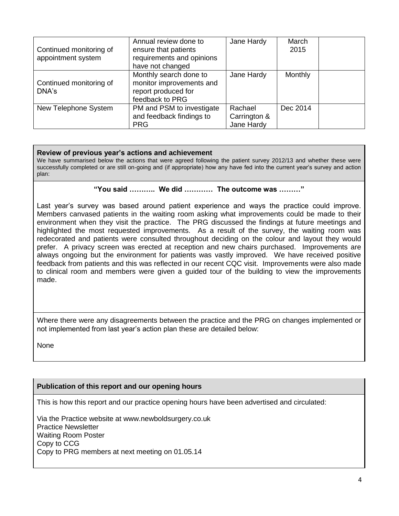| Continued monitoring of<br>appointment system | Annual review done to<br>ensure that patients<br>requirements and opinions<br>have not changed | Jane Hardy                            | March<br>2015 |  |
|-----------------------------------------------|------------------------------------------------------------------------------------------------|---------------------------------------|---------------|--|
| Continued monitoring of<br>DNA's              | Monthly search done to<br>monitor improvements and<br>report produced for<br>feedback to PRG   | Jane Hardy                            | Monthly       |  |
| New Telephone System                          | PM and PSM to investigate<br>and feedback findings to<br><b>PRG</b>                            | Rachael<br>Carrington &<br>Jane Hardy | Dec 2014      |  |

## **Review of previous year's actions and achievement**

We have summarised below the actions that were agreed following the patient survey 2012/13 and whether these were successfully completed or are still on-going and (if appropriate) how any have fed into the current year's survey and action plan:

## **"You said ……….. We did ………… The outcome was ………"**

Last year's survey was based around patient experience and ways the practice could improve. Members canvased patients in the waiting room asking what improvements could be made to their environment when they visit the practice. The PRG discussed the findings at future meetings and highlighted the most requested improvements. As a result of the survey, the waiting room was redecorated and patients were consulted throughout deciding on the colour and layout they would prefer. A privacy screen was erected at reception and new chairs purchased. Improvements are always ongoing but the environment for patients was vastly improved. We have received positive feedback from patients and this was reflected in our recent CQC visit. Improvements were also made to clinical room and members were given a guided tour of the building to view the improvements made.

Where there were any disagreements between the practice and the PRG on changes implemented or not implemented from last year's action plan these are detailed below:

None

## **Publication of this report and our opening hours**

This is how this report and our practice opening hours have been advertised and circulated:

Via the Practice website at www.newboldsurgery.co.uk Practice Newsletter Waiting Room Poster Copy to CCG Copy to PRG members at next meeting on 01.05.14